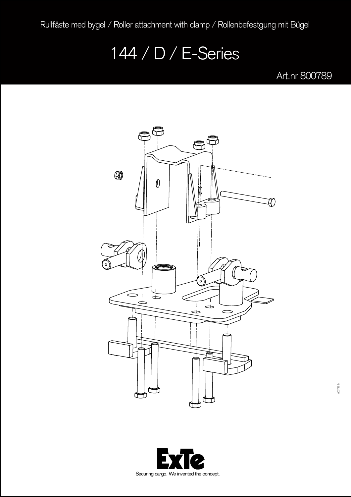Rullfäste med bygel / Roller attachment with clamp / Rollenbefestgung mit Bügel

## 144 / D / E-Series

Art.nr 800789